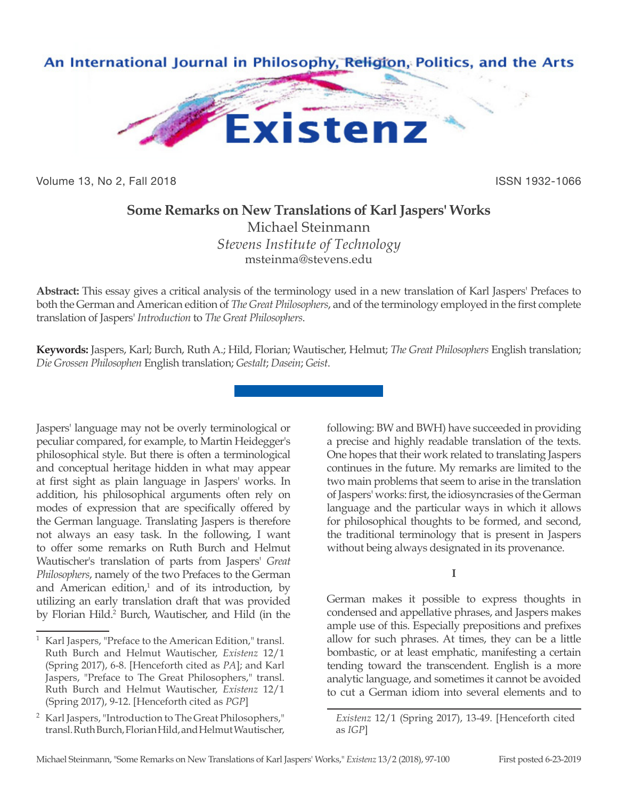

Volume 13, No 2, Fall 2018 ISSN 1932-1066

## **Some Remarks on New Translations of Karl Jaspers' Works**

Michael Steinmann *Stevens Institute of Technology* msteinma@stevens.edu

**Abstract:** This essay gives a critical analysis of the terminology used in a new translation of Karl Jaspers' Prefaces to both the German and American edition of *The Great Philosophers*, and of the terminology employed in the first complete translation of Jaspers' *Introduction* to *The Great Philosophers*.

**Keywords:** Jaspers, Karl; Burch, Ruth A.; Hild, Florian; Wautischer, Helmut; *The Great Philosophers* English translation; *Die Grossen Philosophen* English translation; *Gestalt*; *Dasein*; *Geist*.

Jaspers' language may not be overly terminological or peculiar compared, for example, to Martin Heidegger's philosophical style. But there is often a terminological and conceptual heritage hidden in what may appear at first sight as plain language in Jaspers' works. In addition, his philosophical arguments often rely on modes of expression that are specifically offered by the German language. Translating Jaspers is therefore not always an easy task. In the following, I want to offer some remarks on Ruth Burch and Helmut Wautischer's translation of parts from Jaspers' *Great Philosophers*, namely of the two Prefaces to the German and American edition, $1$  and of its introduction, by utilizing an early translation draft that was provided by Florian Hild.<sup>2</sup> Burch, Wautischer, and Hild (in the

following: BW and BWH) have succeeded in providing a precise and highly readable translation of the texts. One hopes that their work related to translating Jaspers continues in the future. My remarks are limited to the two main problems that seem to arise in the translation of Jaspers' works: first, the idiosyncrasies of the German language and the particular ways in which it allows for philosophical thoughts to be formed, and second, the traditional terminology that is present in Jaspers without being always designated in its provenance.

**I**

German makes it possible to express thoughts in condensed and appellative phrases, and Jaspers makes ample use of this. Especially prepositions and prefixes allow for such phrases. At times, they can be a little bombastic, or at least emphatic, manifesting a certain tending toward the transcendent. English is a more analytic language, and sometimes it cannot be avoided to cut a German idiom into several elements and to

Karl Jaspers, "Preface to the American Edition," transl. Ruth Burch and Helmut Wautischer, *Existenz* 12/1 (Spring 2017), 6-8. [Henceforth cited as *PA*]; and Karl Jaspers, "Preface to The Great Philosophers," transl. Ruth Burch and Helmut Wautischer, *Existenz* 12/1 (Spring 2017), 9-12. [Henceforth cited as *PGP*]

<sup>2</sup> Karl Jaspers, "Introduction to The Great Philosophers," transl. Ruth Burch, Florian Hild, and Helmut Wautischer,

*Existenz* 12/1 (Spring 2017), 13-49. [Henceforth cited as *IGP*]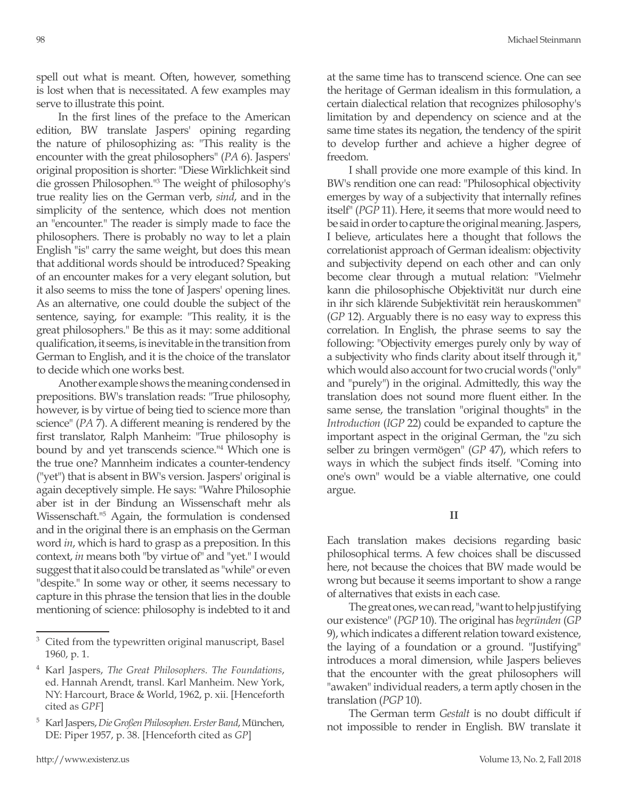spell out what is meant. Often, however, something is lost when that is necessitated. A few examples may serve to illustrate this point.

In the first lines of the preface to the American edition, BW translate Jaspers' opining regarding the nature of philosophizing as: "This reality is the encounter with the great philosophers" (*PA* 6). Jaspers' original proposition is shorter: "Diese Wirklichkeit sind die grossen Philosophen."3 The weight of philosophy's true reality lies on the German verb, *sind*, and in the simplicity of the sentence, which does not mention an "encounter." The reader is simply made to face the philosophers. There is probably no way to let a plain English "is" carry the same weight, but does this mean that additional words should be introduced? Speaking of an encounter makes for a very elegant solution, but it also seems to miss the tone of Jaspers' opening lines. As an alternative, one could double the subject of the sentence, saying, for example: "This reality, it is the great philosophers." Be this as it may: some additional qualification, it seems, is inevitable in the transition from German to English, and it is the choice of the translator to decide which one works best.

Another example shows the meaning condensed in prepositions. BW's translation reads: "True philosophy, however, is by virtue of being tied to science more than science" (*PA* 7). A different meaning is rendered by the first translator, Ralph Manheim: "True philosophy is bound by and yet transcends science."4 Which one is the true one? Mannheim indicates a counter-tendency ("yet") that is absent in BW's version. Jaspers' original is again deceptively simple. He says: "Wahre Philosophie aber ist in der Bindung an Wissenschaft mehr als Wissenschaft."5 Again, the formulation is condensed and in the original there is an emphasis on the German word *in*, which is hard to grasp as a preposition. In this context, *in* means both "by virtue of" and "yet." I would suggest that it also could be translated as "while" or even "despite." In some way or other, it seems necessary to capture in this phrase the tension that lies in the double mentioning of science: philosophy is indebted to it and

at the same time has to transcend science. One can see the heritage of German idealism in this formulation, a certain dialectical relation that recognizes philosophy's limitation by and dependency on science and at the same time states its negation, the tendency of the spirit to develop further and achieve a higher degree of freedom.

I shall provide one more example of this kind. In BW's rendition one can read: "Philosophical objectivity emerges by way of a subjectivity that internally refines itself" (*PGP* 11). Here, it seems that more would need to be said in order to capture the original meaning. Jaspers, I believe, articulates here a thought that follows the correlationist approach of German idealism: objectivity and subjectivity depend on each other and can only become clear through a mutual relation: "Vielmehr kann die philosophische Objektivität nur durch eine in ihr sich klärende Subjektivität rein herauskommen" (*GP* 12). Arguably there is no easy way to express this correlation. In English, the phrase seems to say the following: "Objectivity emerges purely only by way of a subjectivity who finds clarity about itself through it," which would also account for two crucial words ("only" and "purely") in the original. Admittedly, this way the translation does not sound more fluent either. In the same sense, the translation "original thoughts" in the *Introduction* (*IGP* 22) could be expanded to capture the important aspect in the original German, the "zu sich selber zu bringen vermögen" (*GP* 47), which refers to ways in which the subject finds itself. "Coming into one's own" would be a viable alternative, one could argue.

**II**

Each translation makes decisions regarding basic philosophical terms. A few choices shall be discussed here, not because the choices that BW made would be wrong but because it seems important to show a range of alternatives that exists in each case.

The great ones, we can read, "want to help justifying our existence" (*PGP* 10). The original has *begründen* (*GP* 9), which indicates a different relation toward existence, the laying of a foundation or a ground. "Justifying" introduces a moral dimension, while Jaspers believes that the encounter with the great philosophers will "awaken" individual readers, a term aptly chosen in the translation (*PGP* 10).

The German term *Gestalt* is no doubt difficult if not impossible to render in English. BW translate it

<sup>&</sup>lt;sup>3</sup> Cited from the typewritten original manuscript, Basel 1960, p. 1.

<sup>4</sup> Karl Jaspers, *The Great Philosophers. The Foundations*, ed. Hannah Arendt, transl. Karl Manheim. New York, NY: Harcourt, Brace & World, 1962, p. xii. [Henceforth cited as *GPF*]

<sup>5</sup> Karl Jaspers, *Die Großen Philosophen. Erster Band*, München, DE: Piper 1957, p. 38. [Henceforth cited as *GP*]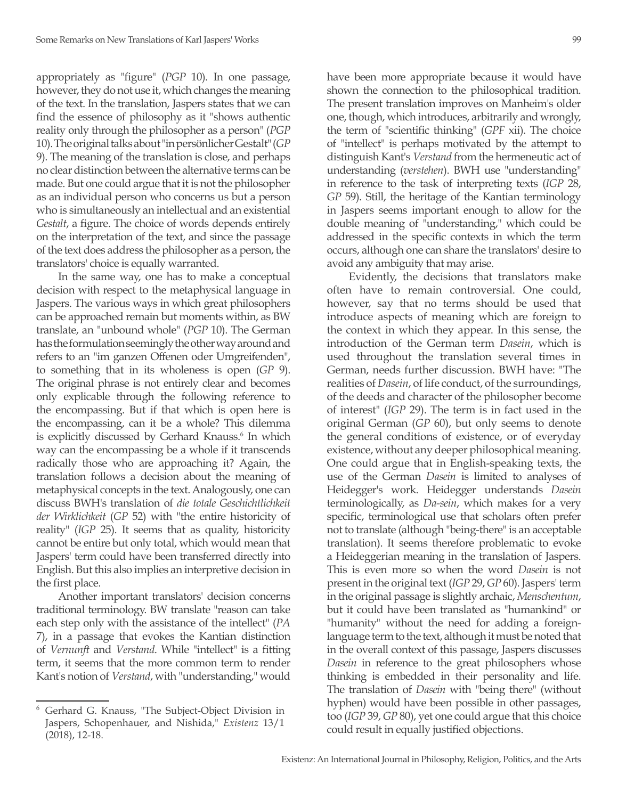appropriately as "figure" (*PGP* 10). In one passage, however, they do not use it, which changes the meaning of the text. In the translation, Jaspers states that we can find the essence of philosophy as it "shows authentic reality only through the philosopher as a person" (*PGP* 10). The original talks about "in persönlicher Gestalt" (*GP* 9). The meaning of the translation is close, and perhaps no clear distinction between the alternative terms can be made. But one could argue that it is not the philosopher as an individual person who concerns us but a person who is simultaneously an intellectual and an existential *Gestalt*, a figure. The choice of words depends entirely on the interpretation of the text, and since the passage of the text does address the philosopher as a person, the translators' choice is equally warranted.

In the same way, one has to make a conceptual decision with respect to the metaphysical language in Jaspers. The various ways in which great philosophers can be approached remain but moments within, as BW translate, an "unbound whole" (*PGP* 10). The German has the formulation seemingly the other way around and refers to an "im ganzen Offenen oder Umgreifenden", to something that in its wholeness is open (*GP* 9). The original phrase is not entirely clear and becomes only explicable through the following reference to the encompassing. But if that which is open here is the encompassing, can it be a whole? This dilemma is explicitly discussed by Gerhard Knauss.<sup>6</sup> In which way can the encompassing be a whole if it transcends radically those who are approaching it? Again, the translation follows a decision about the meaning of metaphysical concepts in the text. Analogously, one can discuss BWH's translation of *die totale Geschichtlichkeit der Wirklichkeit* (*GP* 52) with "the entire historicity of reality" (*IGP* 25). It seems that as quality, historicity cannot be entire but only total, which would mean that Jaspers' term could have been transferred directly into English. But this also implies an interpretive decision in the first place.

Another important translators' decision concerns traditional terminology. BW translate "reason can take each step only with the assistance of the intellect" (*PA* 7), in a passage that evokes the Kantian distinction of *Vernunft* and *Verstand*. While "intellect" is a fitting term, it seems that the more common term to render Kant's notion of *Verstand*, with "understanding," would have been more appropriate because it would have shown the connection to the philosophical tradition. The present translation improves on Manheim's older one, though, which introduces, arbitrarily and wrongly, the term of "scientific thinking" (*GPF* xii). The choice of "intellect" is perhaps motivated by the attempt to distinguish Kant's *Verstand* from the hermeneutic act of understanding (*verstehen*). BWH use "understanding" in reference to the task of interpreting texts (*IGP* 28, *GP* 59). Still, the heritage of the Kantian terminology in Jaspers seems important enough to allow for the double meaning of "understanding," which could be addressed in the specific contexts in which the term occurs, although one can share the translators' desire to avoid any ambiguity that may arise.

Evidently, the decisions that translators make often have to remain controversial. One could, however, say that no terms should be used that introduce aspects of meaning which are foreign to the context in which they appear. In this sense, the introduction of the German term *Dasein*, which is used throughout the translation several times in German, needs further discussion. BWH have: "The realities of *Dasein*, of life conduct, of the surroundings, of the deeds and character of the philosopher become of interest" (*IGP* 29). The term is in fact used in the original German (*GP* 60), but only seems to denote the general conditions of existence, or of everyday existence, without any deeper philosophical meaning. One could argue that in English-speaking texts, the use of the German *Dasein* is limited to analyses of Heidegger's work. Heidegger understands *Dasein* terminologically, as *Da-sein*, which makes for a very specific, terminological use that scholars often prefer not to translate (although "being-there" is an acceptable translation). It seems therefore problematic to evoke a Heideggerian meaning in the translation of Jaspers. This is even more so when the word *Dasein* is not present in the original text (*IGP* 29, *GP* 60). Jaspers' term in the original passage is slightly archaic, *Menschentum*, but it could have been translated as "humankind" or "humanity" without the need for adding a foreignlanguage term to the text, although it must be noted that in the overall context of this passage, Jaspers discusses *Dasein* in reference to the great philosophers whose thinking is embedded in their personality and life. The translation of *Dasein* with "being there" (without hyphen) would have been possible in other passages, too (*IGP* 39, *GP* 80), yet one could argue that this choice could result in equally justified objections.

<sup>6</sup> Gerhard G. Knauss, "The Subject-Object Division in Jaspers, Schopenhauer, and Nishida," *Existenz* 13/1 (2018), 12-18.